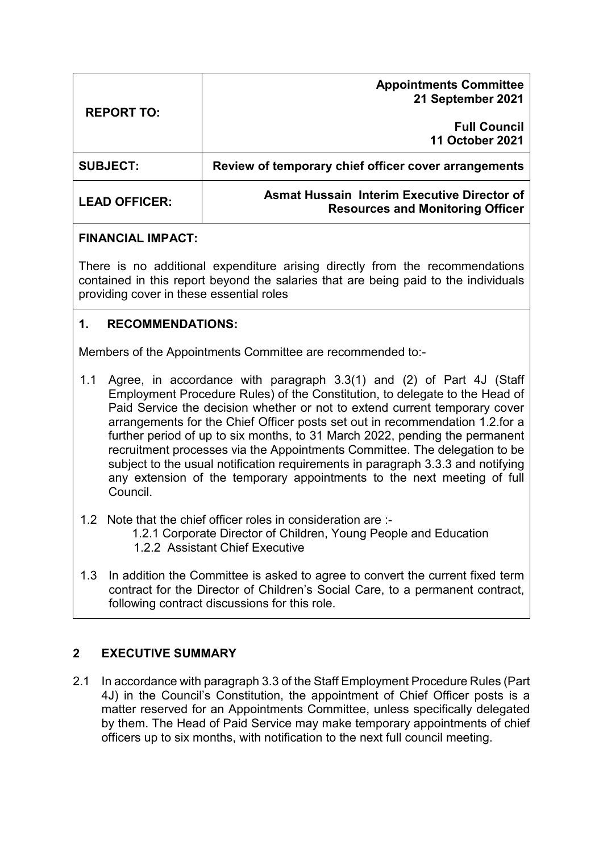| <b>REPORT TO:</b>    | <b>Appointments Committee</b><br>21 September 2021                                            |
|----------------------|-----------------------------------------------------------------------------------------------|
|                      | <b>Full Council</b><br><b>11 October 2021</b>                                                 |
| <b>SUBJECT:</b>      | Review of temporary chief officer cover arrangements                                          |
| <b>LEAD OFFICER:</b> | <b>Asmat Hussain Interim Executive Director of</b><br><b>Resources and Monitoring Officer</b> |

#### **FINANCIAL IMPACT:**

There is no additional expenditure arising directly from the recommendations contained in this report beyond the salaries that are being paid to the individuals providing cover in these essential roles

## **1. RECOMMENDATIONS:**

Members of the Appointments Committee are recommended to:-

- 1.1 Agree, in accordance with paragraph 3.3(1) and (2) of Part 4J (Staff Employment Procedure Rules) of the Constitution, to delegate to the Head of Paid Service the decision whether or not to extend current temporary cover arrangements for the Chief Officer posts set out in recommendation 1.2.for a further period of up to six months, to 31 March 2022, pending the permanent recruitment processes via the Appointments Committee. The delegation to be subject to the usual notification requirements in paragraph 3.3.3 and notifying any extension of the temporary appointments to the next meeting of full Council.
- 1.2 Note that the chief officer roles in consideration are :-
	- 1.2.1 Corporate Director of Children, Young People and Education
	- 1.2.2 Assistant Chief Executive
- 1.3 In addition the Committee is asked to agree to convert the current fixed term contract for the Director of Children's Social Care, to a permanent contract, following contract discussions for this role.

# **2 EXECUTIVE SUMMARY**

2.1 In accordance with paragraph 3.3 of the Staff Employment Procedure Rules (Part 4J) in the Council's Constitution, the appointment of Chief Officer posts is a matter reserved for an Appointments Committee, unless specifically delegated by them. The Head of Paid Service may make temporary appointments of chief officers up to six months, with notification to the next full council meeting.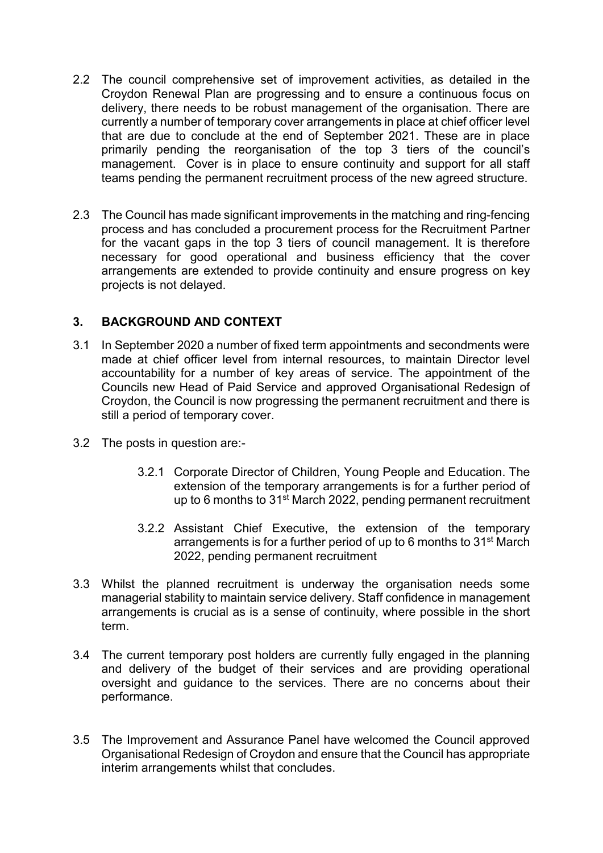- 2.2 The council comprehensive set of improvement activities, as detailed in the Croydon Renewal Plan are progressing and to ensure a continuous focus on delivery, there needs to be robust management of the organisation. There are currently a number of temporary cover arrangements in place at chief officer level that are due to conclude at the end of September 2021. These are in place primarily pending the reorganisation of the top 3 tiers of the council's management. Cover is in place to ensure continuity and support for all staff teams pending the permanent recruitment process of the new agreed structure.
- 2.3 The Council has made significant improvements in the matching and ring-fencing process and has concluded a procurement process for the Recruitment Partner for the vacant gaps in the top 3 tiers of council management. It is therefore necessary for good operational and business efficiency that the cover arrangements are extended to provide continuity and ensure progress on key projects is not delayed.

#### **3. BACKGROUND AND CONTEXT**

- 3.1 In September 2020 a number of fixed term appointments and secondments were made at chief officer level from internal resources, to maintain Director level accountability for a number of key areas of service. The appointment of the Councils new Head of Paid Service and approved Organisational Redesign of Croydon, the Council is now progressing the permanent recruitment and there is still a period of temporary cover.
- 3.2 The posts in question are:-
	- 3.2.1 Corporate Director of Children, Young People and Education. The extension of the temporary arrangements is for a further period of up to 6 months to 31<sup>st</sup> March 2022, pending permanent recruitment
	- 3.2.2 Assistant Chief Executive, the extension of the temporary arrangements is for a further period of up to 6 months to 31st March 2022, pending permanent recruitment
- 3.3 Whilst the planned recruitment is underway the organisation needs some managerial stability to maintain service delivery. Staff confidence in management arrangements is crucial as is a sense of continuity, where possible in the short term.
- 3.4 The current temporary post holders are currently fully engaged in the planning and delivery of the budget of their services and are providing operational oversight and guidance to the services. There are no concerns about their performance.
- 3.5 The Improvement and Assurance Panel have welcomed the Council approved Organisational Redesign of Croydon and ensure that the Council has appropriate interim arrangements whilst that concludes.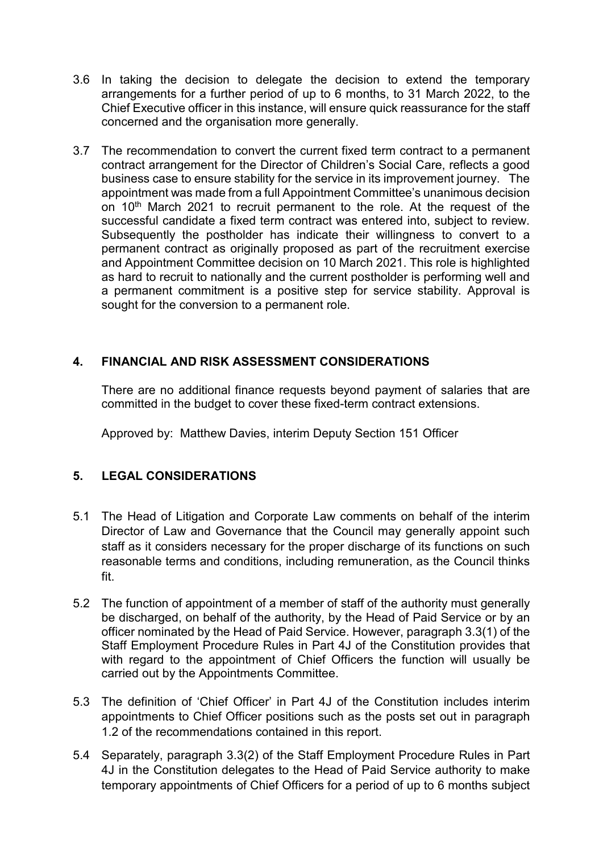- 3.6 In taking the decision to delegate the decision to extend the temporary arrangements for a further period of up to 6 months, to 31 March 2022, to the Chief Executive officer in this instance, will ensure quick reassurance for the staff concerned and the organisation more generally.
- 3.7 The recommendation to convert the current fixed term contract to a permanent contract arrangement for the Director of Children's Social Care, reflects a good business case to ensure stability for the service in its improvement journey. The appointment was made from a full Appointment Committee's unanimous decision on 10<sup>th</sup> March 2021 to recruit permanent to the role. At the request of the successful candidate a fixed term contract was entered into, subject to review. Subsequently the postholder has indicate their willingness to convert to a permanent contract as originally proposed as part of the recruitment exercise and Appointment Committee decision on 10 March 2021. This role is highlighted as hard to recruit to nationally and the current postholder is performing well and a permanent commitment is a positive step for service stability. Approval is sought for the conversion to a permanent role.

#### **4. FINANCIAL AND RISK ASSESSMENT CONSIDERATIONS**

There are no additional finance requests beyond payment of salaries that are committed in the budget to cover these fixed-term contract extensions.

Approved by: Matthew Davies, interim Deputy Section 151 Officer

#### **5. LEGAL CONSIDERATIONS**

- 5.1 The Head of Litigation and Corporate Law comments on behalf of the interim Director of Law and Governance that the Council may generally appoint such staff as it considers necessary for the proper discharge of its functions on such reasonable terms and conditions, including remuneration, as the Council thinks fit.
- 5.2 The function of appointment of a member of staff of the authority must generally be discharged, on behalf of the authority, by the Head of Paid Service or by an officer nominated by the Head of Paid Service. However, paragraph 3.3(1) of the Staff Employment Procedure Rules in Part 4J of the Constitution provides that with regard to the appointment of Chief Officers the function will usually be carried out by the Appointments Committee.
- 5.3 The definition of 'Chief Officer' in Part 4J of the Constitution includes interim appointments to Chief Officer positions such as the posts set out in paragraph 1.2 of the recommendations contained in this report.
- 5.4 Separately, paragraph 3.3(2) of the Staff Employment Procedure Rules in Part 4J in the Constitution delegates to the Head of Paid Service authority to make temporary appointments of Chief Officers for a period of up to 6 months subject